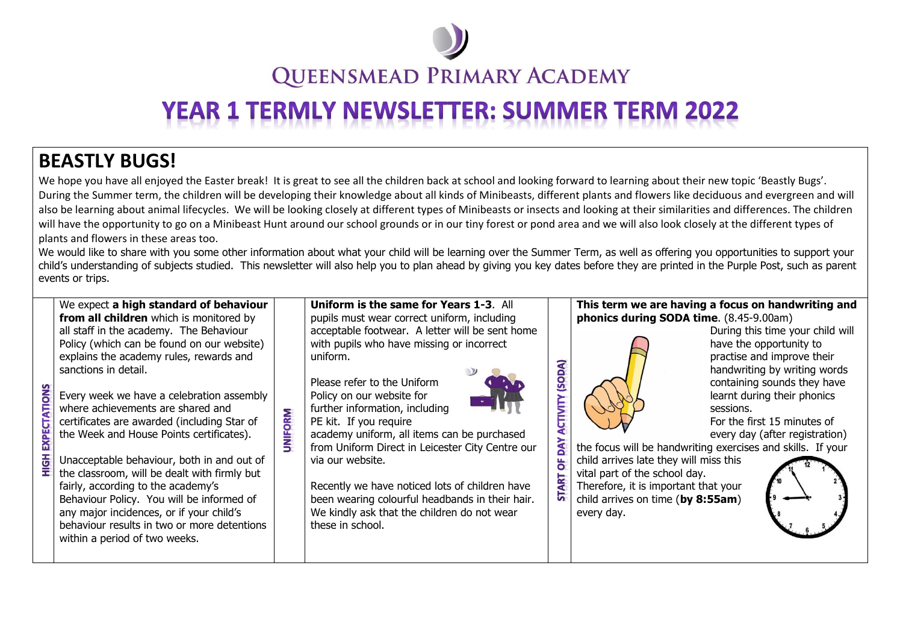

## **QUEENSMEAD PRIMARY ACADEMY**

# **YEAR 1 TERMLY NEWSLETTER: SUMMER TERM 2022**

### **BEASTLY BUGS!**

We hope you have all enjoyed the Easter break! It is great to see all the children back at school and looking forward to learning about their new topic 'Beastly Bugs'. During the Summer term, the children will be developing their knowledge about all kinds of Minibeasts, different plants and flowers like deciduous and evergreen and will also be learning about animal lifecycles. We will be looking closely at different types of Minibeasts or insects and looking at their similarities and differences. The children will have the opportunity to go on a Minibeast Hunt around our school grounds or in our tiny forest or pond area and we will also look closely at the different types of plants and flowers in these areas too.

We would like to share with you some other information about what your child will be learning over the Summer Term, as well as offering you opportunities to support your child's understanding of subjects studied. This newsletter will also help you to plan ahead by giving you key dates before they are printed in the Purple Post, such as parent events or trips.